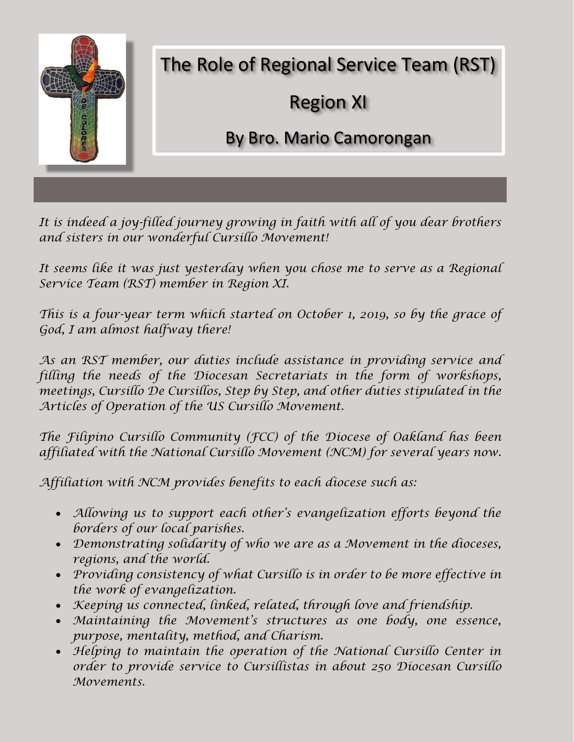

*It is indeed a joy-filled journey growing in faith with all of you dear brothers and sisters in our wonderful Cursillo Movement!*

*It seems like it was just yesterday when you chose me to serve as a Regional Service Team (RST) member in Region XI.*

*This is a four-year term which started on October 1, 2019, so by the grace of God, I am almost halfway there!*

*As an RST member, our duties include assistance in providing service and filling the needs of the Diocesan Secretariats in the form of workshops, meetings, Cursillo De Cursillos, Step by Step, and other duties stipulated in the Articles of Operation of the US Cursillo Movement.*

*The Filipino Cursillo Community (FCC) of the Diocese of Oakland has been affiliated with the National Cursillo Movement (NCM) for several years now.*

*Affiliation with NCM provides benefits to each diocese such as:*

- *Allowing us to support each other's evangelization efforts beyond the borders of our local parishes.*
- *Demonstrating solidarity of who we are as a Movement in the dioceses, regions, and the world.*
- *Providing consistency of what Cursillo is in order to be more effective in the work of evangelization.*
- *Keeping us connected, linked, related, through love and friendship.*
- *Maintaining the Movement's structures as one body, one essence, purpose, mentality, method, and Charism.*
- *Helping to maintain the operation of the National Cursillo Center in order to provide service to Cursillistas in about 250 Diocesan Cursillo Movements.*